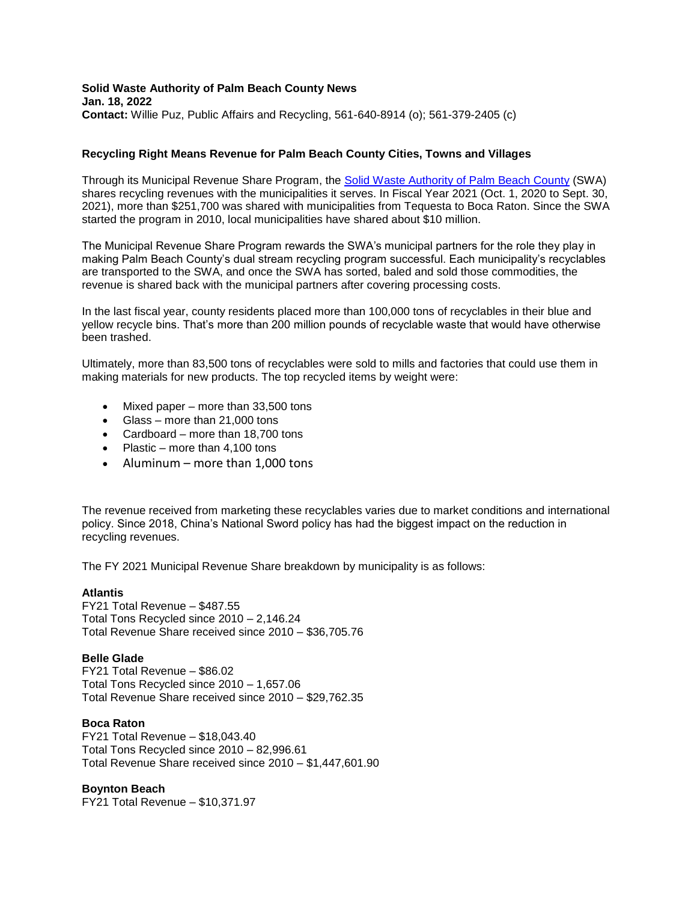## **Solid Waste Authority of Palm Beach County News Jan. 18, 2022 Contact:** Willie Puz, Public Affairs and Recycling, 561-640-8914 (o); 561-379-2405 (c)

# **Recycling Right Means Revenue for Palm Beach County Cities, Towns and Villages**

Through its Municipal Revenue Share Program, the [Solid Waste Authority of Palm Beach County](http://www.swa.org/) (SWA) shares recycling revenues with the municipalities it serves. In Fiscal Year 2021 (Oct. 1, 2020 to Sept. 30, 2021), more than \$251,700 was shared with municipalities from Tequesta to Boca Raton. Since the SWA started the program in 2010, local municipalities have shared about \$10 million.

The Municipal Revenue Share Program rewards the SWA's municipal partners for the role they play in making Palm Beach County's dual stream recycling program successful. Each municipality's recyclables are transported to the SWA, and once the SWA has sorted, baled and sold those commodities, the revenue is shared back with the municipal partners after covering processing costs.

In the last fiscal year, county residents placed more than 100,000 tons of recyclables in their blue and yellow recycle bins. That's more than 200 million pounds of recyclable waste that would have otherwise been trashed.

Ultimately, more than 83,500 tons of recyclables were sold to mills and factories that could use them in making materials for new products. The top recycled items by weight were:

- Mixed paper more than 33,500 tons
- Glass more than 21,000 tons
- Cardboard more than 18.700 tons
- Plastic more than 4,100 tons
- Aluminum more than  $1,000$  tons

The revenue received from marketing these recyclables varies due to market conditions and international policy. Since 2018, China's National Sword policy has had the biggest impact on the reduction in recycling revenues.

The FY 2021 Municipal Revenue Share breakdown by municipality is as follows:

## **Atlantis**

FY21 Total Revenue – \$487.55 Total Tons Recycled since 2010 – 2,146.24 Total Revenue Share received since 2010 – \$36,705.76

## **Belle Glade**

FY21 Total Revenue – \$86.02 Total Tons Recycled since 2010 – 1,657.06 Total Revenue Share received since 2010 – \$29,762.35

## **Boca Raton**

FY21 Total Revenue – \$18,043.40 Total Tons Recycled since 2010 – 82,996.61 Total Revenue Share received since 2010 – \$1,447,601.90

# **Boynton Beach**

FY21 Total Revenue – \$10,371.97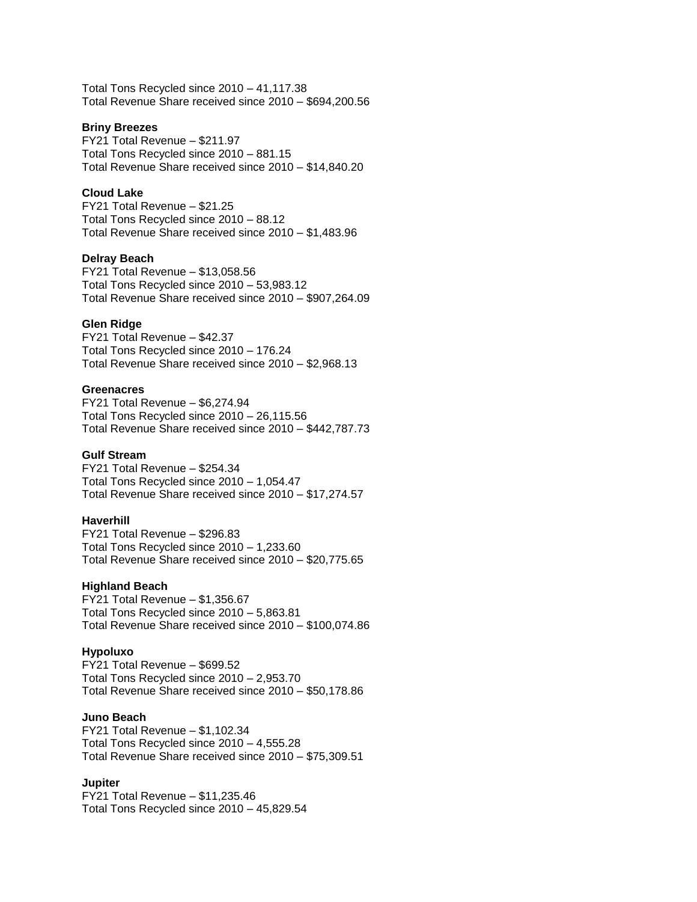Total Tons Recycled since 2010 – 41,117.38 Total Revenue Share received since 2010 – \$694,200.56

## **Briny Breezes**

FY21 Total Revenue – \$211.97 Total Tons Recycled since 2010 – 881.15 Total Revenue Share received since 2010 – \$14,840.20

# **Cloud Lake**

FY21 Total Revenue – \$21.25 Total Tons Recycled since 2010 – 88.12 Total Revenue Share received since 2010 – \$1,483.96

## **Delray Beach**

FY21 Total Revenue – \$13,058.56 Total Tons Recycled since 2010 – 53,983.12 Total Revenue Share received since 2010 – \$907,264.09

### **Glen Ridge**

FY21 Total Revenue – \$42.37 Total Tons Recycled since 2010 – 176.24 Total Revenue Share received since 2010 – \$2,968.13

### **Greenacres**

FY21 Total Revenue – \$6,274.94 Total Tons Recycled since 2010 – 26,115.56 Total Revenue Share received since 2010 – \$442,787.73

### **Gulf Stream**

FY21 Total Revenue – \$254.34 Total Tons Recycled since 2010 – 1,054.47 Total Revenue Share received since 2010 – \$17,274.57

### **Haverhill**

FY21 Total Revenue – \$296.83 Total Tons Recycled since 2010 – 1,233.60 Total Revenue Share received since 2010 – \$20,775.65

### **Highland Beach**

FY21 Total Revenue – \$1,356.67 Total Tons Recycled since 2010 – 5,863.81 Total Revenue Share received since 2010 – \$100,074.86

### **Hypoluxo**

FY21 Total Revenue – \$699.52 Total Tons Recycled since 2010 – 2,953.70 Total Revenue Share received since 2010 – \$50,178.86

### **Juno Beach**

FY21 Total Revenue – \$1,102.34 Total Tons Recycled since 2010 – 4,555.28 Total Revenue Share received since 2010 – \$75,309.51

# **Jupiter**

FY21 Total Revenue – \$11,235.46 Total Tons Recycled since 2010 – 45,829.54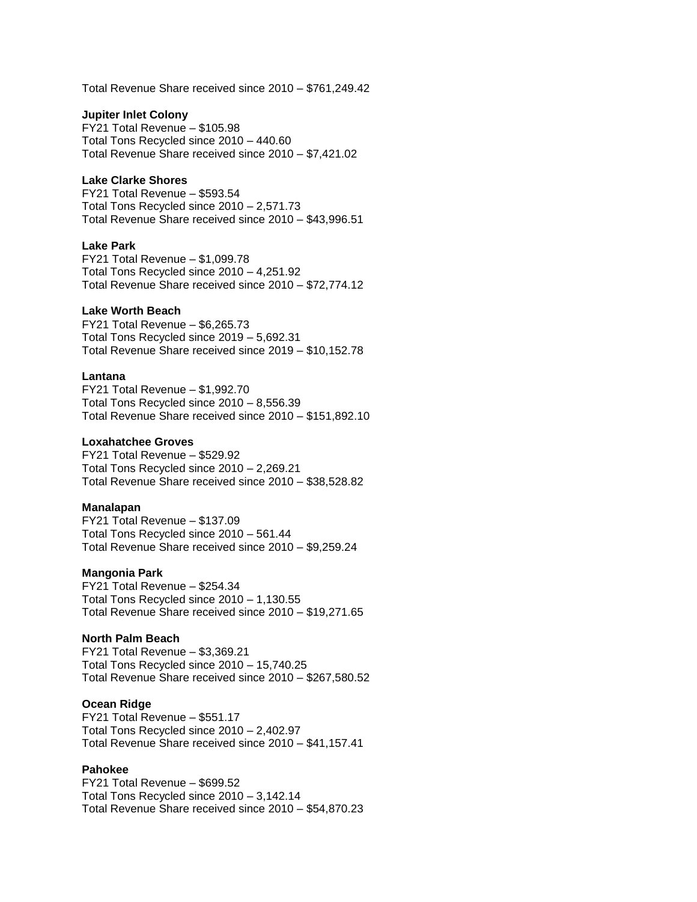Total Revenue Share received since 2010 – \$761,249.42

### **Jupiter Inlet Colony**

FY21 Total Revenue – \$105.98 Total Tons Recycled since 2010 – 440.60 Total Revenue Share received since 2010 – \$7,421.02

### **Lake Clarke Shores**

FY21 Total Revenue – \$593.54 Total Tons Recycled since 2010 – 2,571.73 Total Revenue Share received since 2010 – \$43,996.51

### **Lake Park**

FY21 Total Revenue – \$1,099.78 Total Tons Recycled since 2010 – 4,251.92 Total Revenue Share received since 2010 – \$72,774.12

## **Lake Worth Beach**

FY21 Total Revenue – \$6,265.73 Total Tons Recycled since 2019 – 5,692.31 Total Revenue Share received since 2019 – \$10,152.78

## **Lantana**

FY21 Total Revenue – \$1,992.70 Total Tons Recycled since 2010 – 8,556.39 Total Revenue Share received since 2010 – \$151,892.10

### **Loxahatchee Groves**

FY21 Total Revenue – \$529.92 Total Tons Recycled since 2010 – 2,269.21 Total Revenue Share received since 2010 – \$38,528.82

#### **Manalapan**

FY21 Total Revenue – \$137.09 Total Tons Recycled since 2010 – 561.44 Total Revenue Share received since 2010 – \$9,259.24

#### **Mangonia Park**

FY21 Total Revenue – \$254.34 Total Tons Recycled since 2010 – 1,130.55 Total Revenue Share received since 2010 – \$19,271.65

## **North Palm Beach**

FY21 Total Revenue – \$3,369.21 Total Tons Recycled since 2010 – 15,740.25 Total Revenue Share received since 2010 – \$267,580.52

### **Ocean Ridge**

FY21 Total Revenue – \$551.17 Total Tons Recycled since 2010 – 2,402.97 Total Revenue Share received since 2010 – \$41,157.41

## **Pahokee**

FY21 Total Revenue – \$699.52 Total Tons Recycled since 2010 – 3,142.14 Total Revenue Share received since 2010 – \$54,870.23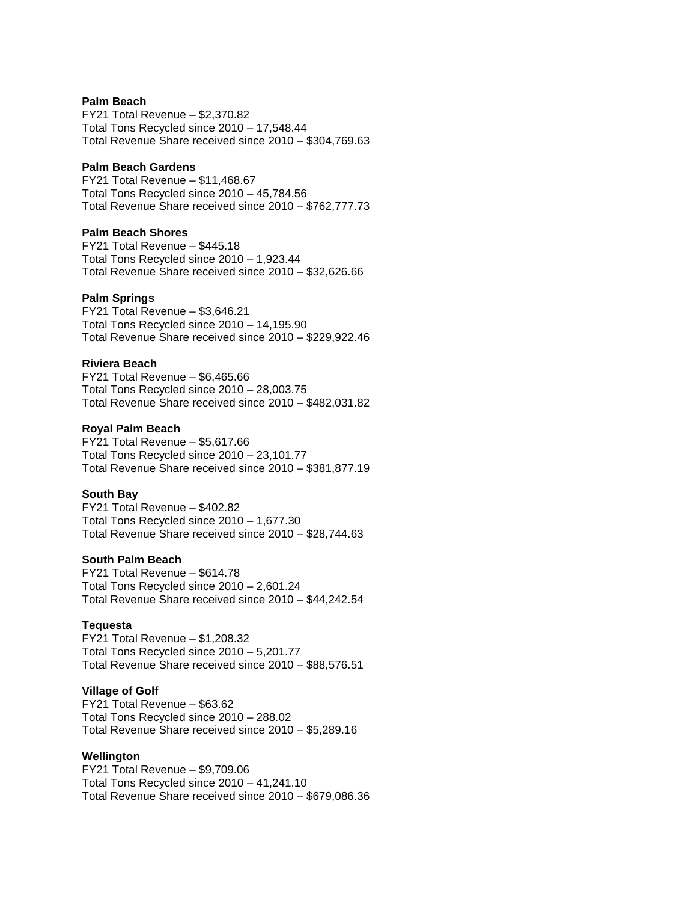### **Palm Beach**

FY21 Total Revenue – \$2,370.82 Total Tons Recycled since 2010 – 17,548.44 Total Revenue Share received since 2010 – \$304,769.63

## **Palm Beach Gardens**

FY21 Total Revenue – \$11,468.67 Total Tons Recycled since 2010 – 45,784.56 Total Revenue Share received since 2010 – \$762,777.73

# **Palm Beach Shores**

FY21 Total Revenue – \$445.18 Total Tons Recycled since 2010 – 1,923.44 Total Revenue Share received since 2010 – \$32,626.66

### **Palm Springs**

FY21 Total Revenue – \$3,646.21 Total Tons Recycled since 2010 – 14,195.90 Total Revenue Share received since 2010 – \$229,922.46

## **Riviera Beach**

FY21 Total Revenue – \$6,465.66 Total Tons Recycled since 2010 – 28,003.75 Total Revenue Share received since 2010 – \$482,031.82

### **Royal Palm Beach**

FY21 Total Revenue – \$5,617.66 Total Tons Recycled since 2010 – 23,101.77 Total Revenue Share received since 2010 – \$381,877.19

### **South Bay**

FY21 Total Revenue – \$402.82 Total Tons Recycled since 2010 – 1,677.30 Total Revenue Share received since 2010 – \$28,744.63

### **South Palm Beach**

FY21 Total Revenue – \$614.78 Total Tons Recycled since 2010 – 2,601.24 Total Revenue Share received since 2010 – \$44,242.54

## **Tequesta**

FY21 Total Revenue – \$1,208.32 Total Tons Recycled since 2010 – 5,201.77 Total Revenue Share received since 2010 – \$88,576.51

## **Village of Golf**

FY21 Total Revenue – \$63.62 Total Tons Recycled since 2010 – 288.02 Total Revenue Share received since 2010 – \$5,289.16

### **Wellington**

FY21 Total Revenue – \$9,709.06 Total Tons Recycled since 2010 – 41,241.10 Total Revenue Share received since 2010 – \$679,086.36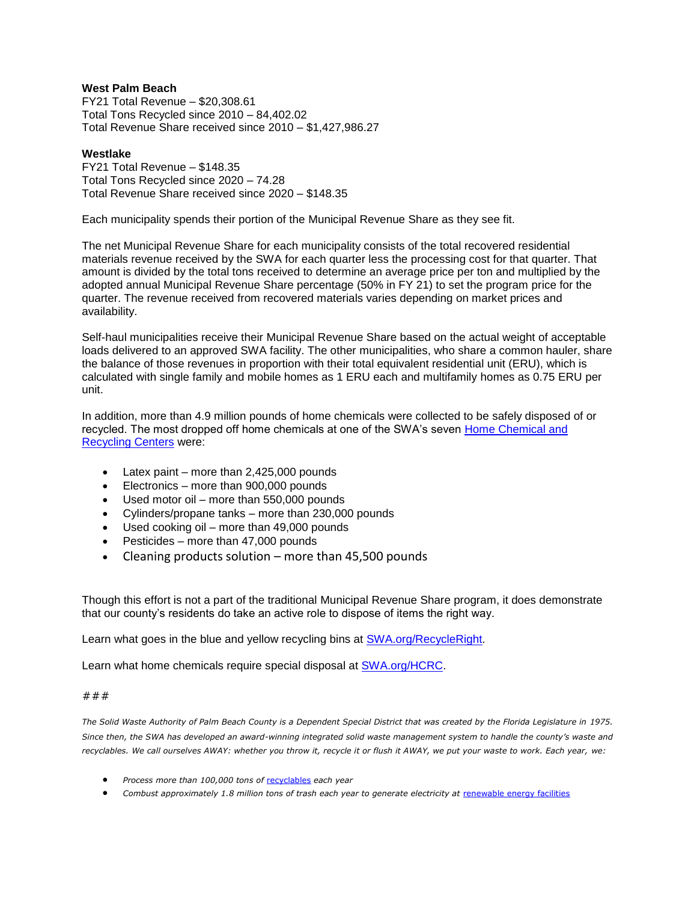# **West Palm Beach**

FY21 Total Revenue – \$20,308.61 Total Tons Recycled since 2010 – 84,402.02 Total Revenue Share received since 2010 – \$1,427,986.27

### **Westlake**

FY21 Total Revenue – \$148.35 Total Tons Recycled since 2020 – 74.28 Total Revenue Share received since 2020 – \$148.35

Each municipality spends their portion of the Municipal Revenue Share as they see fit.

The net Municipal Revenue Share for each municipality consists of the total recovered residential materials revenue received by the SWA for each quarter less the processing cost for that quarter. That amount is divided by the total tons received to determine an average price per ton and multiplied by the adopted annual Municipal Revenue Share percentage (50% in FY 21) to set the program price for the quarter. The revenue received from recovered materials varies depending on market prices and availability.

Self-haul municipalities receive their Municipal Revenue Share based on the actual weight of acceptable loads delivered to an approved SWA facility. The other municipalities, who share a common hauler, share the balance of those revenues in proportion with their total equivalent residential unit (ERU), which is calculated with single family and mobile homes as 1 ERU each and multifamily homes as 0.75 ERU per unit.

In addition, more than 4.9 million pounds of home chemicals were collected to be safely disposed of or recycled. The most dropped off home chemicals at one of the SWA's seven [Home Chemical and](https://www.swa.org/HCRC)  [Recycling Centers](https://www.swa.org/HCRC) were:

- $\bullet$  Latex paint more than 2,425,000 pounds
- Electronics more than 900,000 pounds
- Used motor oil more than 550,000 pounds
- Cylinders/propane tanks more than 230,000 pounds
- Used cooking oil more than 49,000 pounds
- $\bullet$  Pesticides more than 47,000 pounds
- Cleaning products solution more than 45,500 pounds

Though this effort is not a part of the traditional Municipal Revenue Share program, it does demonstrate that our county's residents do take an active role to dispose of items the right way.

Learn what goes in the blue and yellow recycling bins at **SWA.org/RecycleRight**.

Learn what home chemicals require special disposal at [SWA.org/HCRC.](http://www.swa.org/HCRC)

### ###

The Solid Waste Authority of Palm Beach County is a Dependent Special District that was created by the Florida Legislature in 1975. *Since then, the SWA has developed an award-winning integrated solid waste management system to handle the county's waste and recyclables. We call ourselves AWAY: whether you throw it, recycle it or flush it AWAY, we put your waste to work. Each year, we:*

- *Process more than 100,000 tons of* [recyclables](http://www.swa.org/RecycleRight) *each year*
- *Combust approximately 1.8 million tons of trash each year to generate electricity at* [renewable energy facilities](https://swa.org/587/Renewable-Energy-Facilities-1-2)